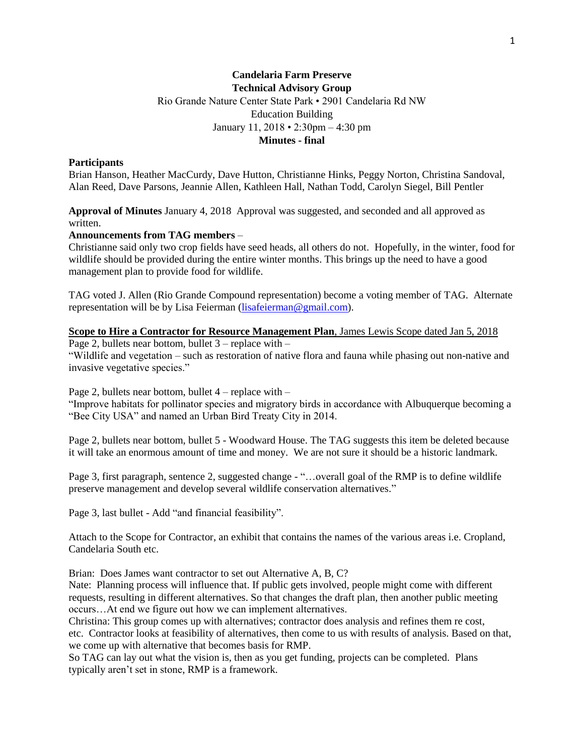# **Candelaria Farm Preserve Technical Advisory Group** Rio Grande Nature Center State Park • 2901 Candelaria Rd NW Education Building January 11, 2018 • 2:30pm – 4:30 pm **Minutes - final**

### **Participants**

Brian Hanson, Heather MacCurdy, Dave Hutton, Christianne Hinks, Peggy Norton, Christina Sandoval, Alan Reed, Dave Parsons, Jeannie Allen, Kathleen Hall, Nathan Todd, Carolyn Siegel, Bill Pentler

**Approval of Minutes** January 4, 2018 Approval was suggested, and seconded and all approved as written.

#### **Announcements from TAG members** –

Christianne said only two crop fields have seed heads, all others do not. Hopefully, in the winter, food for wildlife should be provided during the entire winter months. This brings up the need to have a good management plan to provide food for wildlife.

TAG voted J. Allen (Rio Grande Compound representation) become a voting member of TAG. Alternate representation will be by Lisa Feierman [\(lisafeierman@gmail.com\)](mailto:lisafeierman@gmail.com).

## **Scope to Hire a Contractor for Resource Management Plan**, James Lewis Scope dated Jan 5, 2018

Page 2, bullets near bottom, bullet  $3$  – replace with –

"Wildlife and vegetation – such as restoration of native flora and fauna while phasing out non-native and invasive vegetative species."

Page 2, bullets near bottom, bullet  $4$  – replace with –

"Improve habitats for pollinator species and migratory birds in accordance with Albuquerque becoming a "Bee City USA" and named an Urban Bird Treaty City in 2014.

Page 2, bullets near bottom, bullet 5 - Woodward House. The TAG suggests this item be deleted because it will take an enormous amount of time and money. We are not sure it should be a historic landmark.

Page 3, first paragraph, sentence 2, suggested change - "…overall goal of the RMP is to define wildlife preserve management and develop several wildlife conservation alternatives."

Page 3, last bullet - Add "and financial feasibility".

Attach to the Scope for Contractor, an exhibit that contains the names of the various areas i.e. Cropland, Candelaria South etc.

Brian: Does James want contractor to set out Alternative A, B, C?

Nate: Planning process will influence that. If public gets involved, people might come with different requests, resulting in different alternatives. So that changes the draft plan, then another public meeting occurs…At end we figure out how we can implement alternatives.

Christina: This group comes up with alternatives; contractor does analysis and refines them re cost, etc. Contractor looks at feasibility of alternatives, then come to us with results of analysis. Based on that, we come up with alternative that becomes basis for RMP.

So TAG can lay out what the vision is, then as you get funding, projects can be completed. Plans typically aren't set in stone, RMP is a framework.